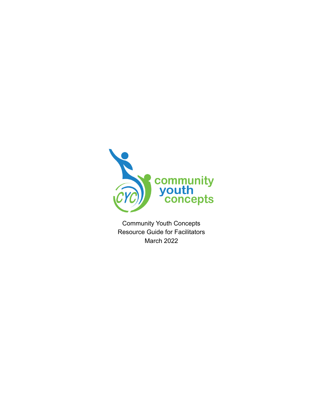

Community Youth Concepts Resource Guide for Facilitators March 2022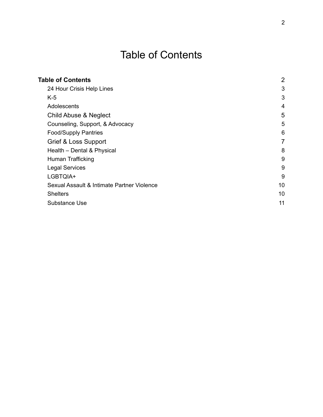# Table of Contents

<span id="page-1-0"></span>

| <b>Table of Contents</b>                   | $\overline{2}$ |
|--------------------------------------------|----------------|
| 24 Hour Crisis Help Lines                  | 3              |
| $K-5$                                      | 3              |
| Adolescents                                | 4              |
| <b>Child Abuse &amp; Neglect</b>           | 5              |
| Counseling, Support, & Advocacy            | 5              |
| <b>Food/Supply Pantries</b>                | 6              |
| Grief & Loss Support                       | 7              |
| Health - Dental & Physical                 | 8              |
| Human Trafficking                          | 9              |
| <b>Legal Services</b>                      | 9              |
| LGBTQIA+                                   | 9              |
| Sexual Assault & Intimate Partner Violence | 10             |
| <b>Shelters</b>                            | 10             |
| Substance Use                              | 11             |
|                                            |                |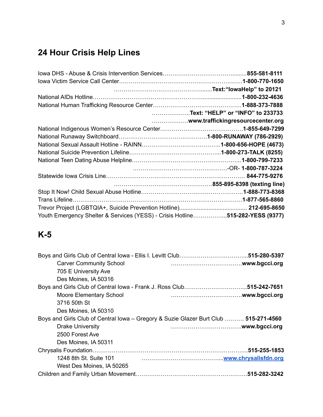## <span id="page-2-0"></span>**24 Hour Crisis Help Lines**

|                                                                               | Text: "HELP" or "INFO" to 233733  |
|-------------------------------------------------------------------------------|-----------------------------------|
|                                                                               | www.traffickingresourcecenter.org |
|                                                                               |                                   |
|                                                                               |                                   |
|                                                                               |                                   |
|                                                                               |                                   |
|                                                                               |                                   |
|                                                                               |                                   |
|                                                                               |                                   |
|                                                                               |                                   |
|                                                                               |                                   |
|                                                                               |                                   |
|                                                                               |                                   |
| Youth Emergency Shelter & Services (YESS) - Crisis Hotline515-282-YESS (9377) |                                   |

### <span id="page-2-1"></span>**K-5**

| <b>Carver Community School</b>                                                       |                                                                                                     |
|--------------------------------------------------------------------------------------|-----------------------------------------------------------------------------------------------------|
| 705 E University Ave                                                                 |                                                                                                     |
| Des Moines, IA 50316                                                                 |                                                                                                     |
|                                                                                      |                                                                                                     |
| <b>Moore Elementary School</b>                                                       |                                                                                                     |
| 3716 50th St                                                                         |                                                                                                     |
| Des Moines, IA 50310                                                                 |                                                                                                     |
| Boys and Girls Club of Central lowa – Gregory & Suzie Glazer Burt Club  515-271-4560 |                                                                                                     |
| <b>Drake University</b>                                                              |                                                                                                     |
| 2500 Forest Ave                                                                      |                                                                                                     |
| Des Moines, IA 50311                                                                 |                                                                                                     |
|                                                                                      |                                                                                                     |
| 1248 8th St. Suite 101                                                               | <u>www.chrysalisfdn.org = www.chrysalisfdn.org = www.chrysalisfdn.org = www.chrysalisfdn.org = </u> |
| West Des Moines, IA 50265                                                            |                                                                                                     |
|                                                                                      |                                                                                                     |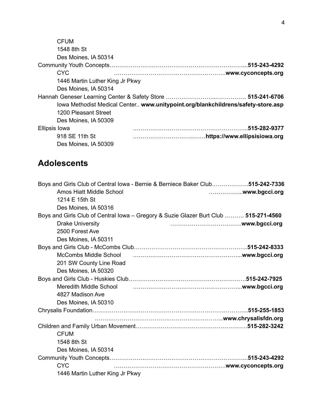| <b>CFUM</b>                     |                                                                                  |
|---------------------------------|----------------------------------------------------------------------------------|
| 1548 8th St                     |                                                                                  |
| Des Moines, IA 50314            |                                                                                  |
|                                 |                                                                                  |
| CYC.                            |                                                                                  |
| 1446 Martin Luther King Jr Pkwy |                                                                                  |
| Des Moines, IA 50314            |                                                                                  |
|                                 |                                                                                  |
|                                 | lowa Methodist Medical Center www.unitypoint.org/blankchildrens/safety-store.asp |
| 1200 Pleasant Street            |                                                                                  |
| Des Moines, IA 50309            |                                                                                  |
| Ellipsis Iowa                   |                                                                                  |
| 918 SE 11th St                  |                                                                                  |
| Des Moines, IA 50309            |                                                                                  |

#### <span id="page-3-0"></span>**Adolescents**

| Boys and Girls Club of Central lowa - Bernie & Berniece Baker Club515-242-7336       |  |
|--------------------------------------------------------------------------------------|--|
| Amos Hiatt Middle School                                                             |  |
| 1214 E 15th St                                                                       |  |
| Des Moines, IA 50316                                                                 |  |
| Boys and Girls Club of Central Iowa - Gregory & Suzie Glazer Burt Club  515-271-4560 |  |
| <b>Drake University</b>                                                              |  |
| 2500 Forest Ave                                                                      |  |
| Des Moines, IA 50311                                                                 |  |
|                                                                                      |  |
| <b>McCombs Middle School</b>                                                         |  |
| 201 SW County Line Road                                                              |  |
| Des Moines, IA 50320                                                                 |  |
|                                                                                      |  |
| Meredith Middle School                                                               |  |
| 4827 Madison Ave                                                                     |  |
| Des Moines, IA 50310                                                                 |  |
|                                                                                      |  |
|                                                                                      |  |
|                                                                                      |  |
| <b>CFUM</b>                                                                          |  |
| 1548 8th St                                                                          |  |
| Des Moines, IA 50314                                                                 |  |
|                                                                                      |  |
| <b>CYC</b>                                                                           |  |
| 1446 Martin Luther King Jr Pkwy                                                      |  |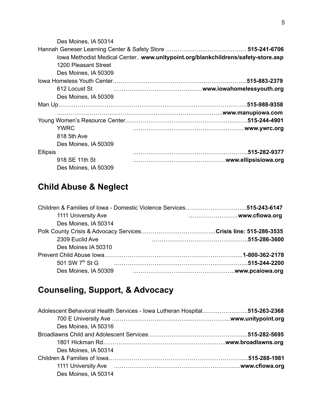| Des Moines, IA 50314 |                                                                                  |
|----------------------|----------------------------------------------------------------------------------|
|                      |                                                                                  |
|                      | lowa Methodist Medical Center www.unitypoint.org/blankchildrens/safety-store.asp |
| 1200 Pleasant Street |                                                                                  |
| Des Moines, IA 50309 |                                                                                  |
|                      |                                                                                  |
| 612 Locust St        |                                                                                  |
| Des Moines, IA 50309 |                                                                                  |
|                      |                                                                                  |
|                      |                                                                                  |
|                      |                                                                                  |
| <b>YWRC</b>          |                                                                                  |
| 818 5th Ave          |                                                                                  |
| Des Moines, IA 50309 |                                                                                  |
| <b>Ellipsis</b>      |                                                                                  |
| 918 SE 11th St       |                                                                                  |
| Des Moines, IA 50309 |                                                                                  |

### <span id="page-4-0"></span>**Child Abuse & Neglect**

| 1111 University Ave         |  |
|-----------------------------|--|
| Des Moines, IA 50314        |  |
|                             |  |
| 2309 Euclid Ave             |  |
| Des Moines IA 50310         |  |
|                             |  |
| 501 SW 7 <sup>th</sup> St G |  |
| Des Moines, IA 50309        |  |

## <span id="page-4-1"></span>**Counseling, Support, & Advocacy**

| Adolescent Behavioral Health Services - Iowa Lutheran Hospital515-263-2368                                                                                                                                                     |  |
|--------------------------------------------------------------------------------------------------------------------------------------------------------------------------------------------------------------------------------|--|
|                                                                                                                                                                                                                                |  |
| Des Moines, IA 50316                                                                                                                                                                                                           |  |
|                                                                                                                                                                                                                                |  |
|                                                                                                                                                                                                                                |  |
| Des Moines, IA 50314                                                                                                                                                                                                           |  |
|                                                                                                                                                                                                                                |  |
| 1111 University Ave members and contact the control of the control of the control of the control of the control of the control of the control of the control of the control of the control of the control of the control of th |  |
| Des Moines, IA 50314                                                                                                                                                                                                           |  |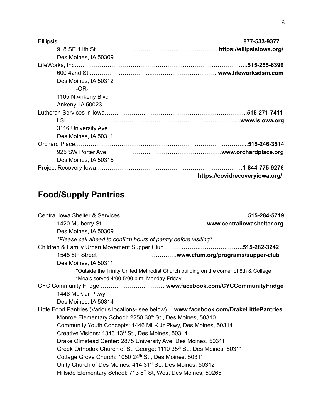| 918 SE 11th St       |                                |
|----------------------|--------------------------------|
| Des Moines, IA 50309 |                                |
|                      |                                |
|                      |                                |
| Des Moines, IA 50312 |                                |
| $-OR-$               |                                |
| 1105 N Ankeny Blvd   |                                |
| Ankeny, IA 50023     |                                |
|                      |                                |
| LSI                  |                                |
| 3116 University Ave  |                                |
| Des Moines, IA 50311 |                                |
|                      |                                |
| 925 SW Porter Ave    |                                |
| Des Moines, IA 50315 |                                |
|                      | .1-844-775-9276                |
|                      | https://covidrecoveryiowa.org/ |

## <span id="page-5-0"></span>**Food/Supply Pantries**

|                                                                                         | .515-284-5719                     |
|-----------------------------------------------------------------------------------------|-----------------------------------|
| 1420 Mulberry St                                                                        | www.centraliowashelter.org        |
| Des Moines, IA 50309                                                                    |                                   |
| *Please call ahead to confirm hours of pantry before visiting*                          |                                   |
|                                                                                         |                                   |
| 1548 8th Street                                                                         | www.cfum.org/programs/supper-club |
| Des Moines, IA 50311                                                                    |                                   |
| *Outside the Trinity United Methodist Church building on the corner of 8th & College    |                                   |
| *Meals served 4:00-5:00 p.m. Monday-Friday                                              |                                   |
|                                                                                         |                                   |
| 1446 MLK Jr Pkwy                                                                        |                                   |
| Des Moines, IA 50314                                                                    |                                   |
| Little Food Pantries (Various locations- see below)www.facebook.com/DrakeLittlePantries |                                   |
| Monroe Elementary School: 2250 30 <sup>th</sup> St., Des Moines, 50310                  |                                   |
| Community Youth Concepts: 1446 MLK Jr Pkwy, Des Moines, 50314                           |                                   |
| Creative Visions: 1343 13 <sup>th</sup> St., Des Moines, 50314                          |                                   |
| Drake Olmstead Center: 2875 University Ave, Des Moines, 50311                           |                                   |
| Greek Orthodox Church of St. George: 1110 35 <sup>th</sup> St., Des Moines, 50311       |                                   |
| Cottage Grove Church: 1050 24th St., Des Moines, 50311                                  |                                   |
| Unity Church of Des Moines: 414 31 <sup>st</sup> St., Des Moines, 50312                 |                                   |
| Hillside Elementary School: 713 8 <sup>th</sup> St, West Des Moines, 50265              |                                   |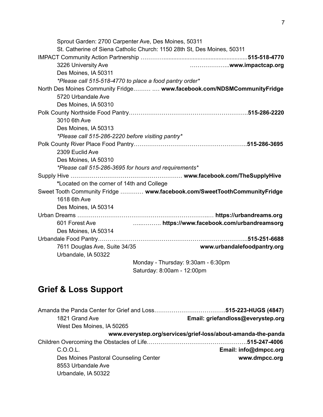| Sprout Garden: 2700 Carpenter Ave, Des Moines, 50311    |                                                                          |
|---------------------------------------------------------|--------------------------------------------------------------------------|
|                                                         | St. Catherine of Siena Catholic Church: 1150 28th St, Des Moines, 50311  |
|                                                         |                                                                          |
| 3226 University Ave                                     |                                                                          |
| Des Moines, IA 50311                                    |                                                                          |
| *Please call 515-518-4770 to place a food pantry order* |                                                                          |
|                                                         | North Des Moines Community Fridge  www.facebook.com/NDSMCommunityFridge  |
| 5720 Urbandale Ave                                      |                                                                          |
| Des Moines, IA 50310                                    |                                                                          |
|                                                         |                                                                          |
| 3010 6th Ave                                            |                                                                          |
| Des Moines, IA 50313                                    |                                                                          |
| *Please call 515-286-2220 before visiting pantry*       |                                                                          |
|                                                         |                                                                          |
| 2309 Euclid Ave                                         |                                                                          |
| Des Moines, IA 50310                                    |                                                                          |
| *Please call 515-286-3695 for hours and requirements*   |                                                                          |
|                                                         |                                                                          |
| *Located on the corner of 14th and College              |                                                                          |
|                                                         | Sweet Tooth Community Fridge  www.facebook.com/SweetToothCommunityFridge |
| 1618 6th Ave                                            |                                                                          |
| Des Moines, IA 50314                                    |                                                                          |
|                                                         |                                                                          |
| 601 Forest Ave                                          | https://www.facebook.com/urbandreamsorg                                  |
| Des Moines, IA 50314                                    |                                                                          |
|                                                         |                                                                          |
| 7611 Douglas Ave, Suite 34/35                           | www.urbandalefoodpantry.org                                              |
| Urbandale, IA 50322                                     |                                                                          |
|                                                         | Monday - Thursday: 9:30am - 6:30pm                                       |
|                                                         | Saturday: 8:00am - 12:00pm                                               |

## <span id="page-6-0"></span>**Grief & Loss Support**

| 1821 Grand Ave                        | Email: griefandloss@everystep.org                            |
|---------------------------------------|--------------------------------------------------------------|
| West Des Moines, IA 50265             |                                                              |
|                                       | www.everystep.org/services/grief-loss/about-amanda-the-panda |
|                                       |                                                              |
| C.O.O.L.                              | Email: info@dmpcc.org                                        |
| Des Moines Pastoral Counseling Center | www.dmpcc.org                                                |
| 8553 Urbandale Ave                    |                                                              |
| Urbandale, IA 50322                   |                                                              |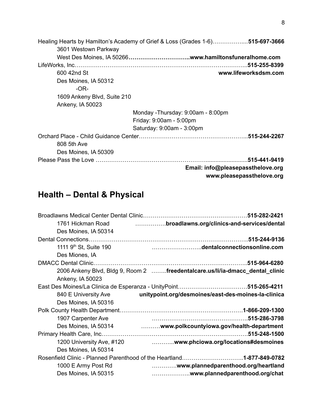| Healing Hearts by Hamilton's Academy of Grief & Loss (Grades 1-6)515-697-3666 |
|-------------------------------------------------------------------------------|
| 3601 Westown Parkway                                                          |
|                                                                               |
| LifeWorks, Inc……………………………………………………………………………………515-255-8399                    |
| www.lifeworksdsm.com<br>600 42nd St                                           |
| Des Moines, IA 50312                                                          |
| $-OR-$                                                                        |
| 1609 Ankeny Blvd, Suite 210                                                   |
| Ankeny, IA 50023                                                              |
| Monday -Thursday: 9:00am - 8:00pm                                             |
| Friday: 9:00am - 5:00pm                                                       |
| Saturday: 9:00am - 3:00pm                                                     |
|                                                                               |
| 808 5th Ave                                                                   |
| Des Moines, IA 50309                                                          |
|                                                                               |
| Email: info@pleasepassthelove.org<br>www.pleasepassthelove.org                |

## <span id="page-7-0"></span>**Health – Dental & Physical**

| broadlawns.org/clinics-and-services/dental                                   |
|------------------------------------------------------------------------------|
|                                                                              |
|                                                                              |
| dentalconnectionsonline.com                                                  |
|                                                                              |
|                                                                              |
| 2006 Ankeny Blvd, Bldg 9, Room 2 freedentalcare.us/li/ia-dmacc_dental_clinic |
|                                                                              |
|                                                                              |
| unitypoint.org/desmoines/east-des-moines-la-clinica                          |
|                                                                              |
|                                                                              |
|                                                                              |
| Des Moines, IA 50314  www.polkcountyiowa.gov/health-department               |
|                                                                              |
| www.phciowa.org/locations#desmoines                                          |
|                                                                              |
| Rosenfield Clinic - Planned Parenthood of the Heartland1-877-849-0782        |
| www.plannedparenthood.org/heartland                                          |
| www.plannedparenthood.org/chat                                               |
|                                                                              |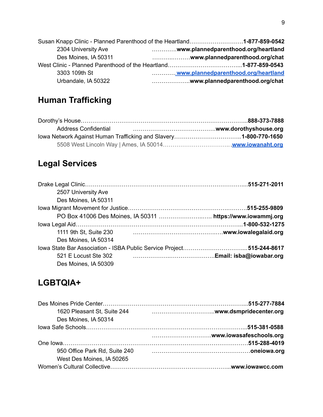|                      | Susan Knapp Clinic - Planned Parenthood of the Heartland1-877-859-0542 |
|----------------------|------------------------------------------------------------------------|
| 2304 University Ave  | www.plannedparenthood.org/heartland                                    |
| Des Moines, IA 50311 |                                                                        |
|                      |                                                                        |
| 3303 109th St        | www.plannedparenthood.org/heartland                                    |
| Urbandale, IA 50322  | www.plannedparenthood.org/chat                                         |

### **Human Trafficking**

| <b>Address Confidential</b> |  |
|-----------------------------|--|
|                             |  |
|                             |  |

### <span id="page-8-0"></span>**Legal Services**

| 2507 University Ave    |                      |
|------------------------|----------------------|
| Des Moines, IA 50311   |                      |
|                        |                      |
|                        |                      |
|                        |                      |
| 1111 9th St, Suite 230 | www.iowalegalaid.org |
| Des Moines, IA 50314   |                      |
|                        |                      |
| 521 E Locust Ste 302   |                      |
| Des Moines, IA 50309   |                      |

#### <span id="page-8-1"></span>**LGBTQIA+**

| 1620 Pleasant St, Suite 244   |  |
|-------------------------------|--|
| Des Moines, IA 50314          |  |
|                               |  |
|                               |  |
|                               |  |
| 950 Office Park Rd, Suite 240 |  |
| West Des Moines, IA 50265     |  |
|                               |  |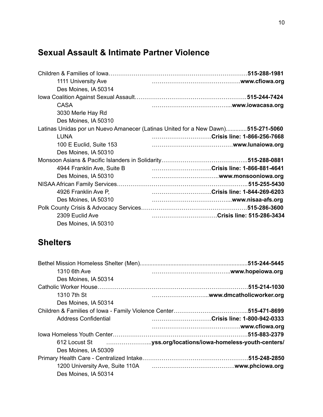#### <span id="page-9-0"></span>**Sexual Assault & Intimate Partner Violence**

| 1111 University Ave        |                                                                                  |
|----------------------------|----------------------------------------------------------------------------------|
| Des Moines, IA 50314       |                                                                                  |
|                            |                                                                                  |
| <b>CASA</b>                |                                                                                  |
| 3030 Merle Hay Rd          |                                                                                  |
| Des Moines, IA 50310       |                                                                                  |
|                            | Latinas Unidas por un Nuevo Amanecer (Latinas United for a New Dawn)515-271-5060 |
| <b>LUNA</b>                | Crisis line: 1-866-256-7668                                                      |
| 100 E Euclid, Suite 153    |                                                                                  |
| Des Moines, IA 50310       |                                                                                  |
|                            |                                                                                  |
| 4944 Franklin Ave, Suite B | Crisis line: 1-866-881-4641                                                      |
| Des Moines, IA 50310       |                                                                                  |
|                            |                                                                                  |
| 4926 Franklin Ave P,       | Crisis line: 1-844-269-6203                                                      |
| Des Moines, IA 50310       |                                                                                  |
|                            |                                                                                  |
| 2309 Euclid Ave            | Crisis line: 515-286-3434                                                        |
| Des Moines, IA 50310       |                                                                                  |

#### <span id="page-9-1"></span>**Shelters**

| 1310 6th Ave         |                                                                        |
|----------------------|------------------------------------------------------------------------|
| Des Moines, IA 50314 |                                                                        |
|                      |                                                                        |
| 1310 7th St          |                                                                        |
| Des Moines, IA 50314 |                                                                        |
|                      |                                                                        |
| Address Confidential | Crisis line: 1-800-942-0333                                            |
|                      |                                                                        |
|                      |                                                                        |
|                      |                                                                        |
| Des Moines, IA 50309 |                                                                        |
|                      |                                                                        |
|                      | 1200 University Ave, Suite 110A mature contract to the www.phciowa.org |
| Des Moines, IA 50314 |                                                                        |